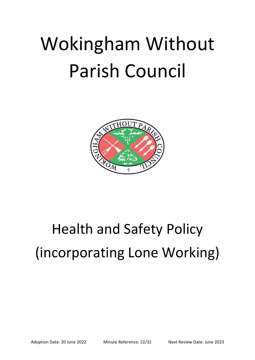# Wokingham Without Parish Council



# Health and Safety Policy (incorporating Lone Working)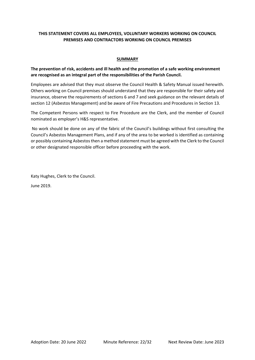# **THIS STATEMENT COVERS ALL EMPLOYEES, VOLUNTARY WORKERS WORKING ON COUNCIL PREMISES AND CONTRACTORS WORKING ON COUNCIL PREMISES**

#### **SUMMARY**

# **The prevention of risk, accidents and ill health and the promotion of a safe working environment are recognised as an integral part of the responsibilities of the Parish Council.**

Employees are advised that they must observe the Council Health & Safety Manual issued herewith. Others working on Council premises should understand that they are responsible for their safety and insurance, observe the requirements of sections 6 and 7 and seek guidance on the relevant details of section 12 (Asbestos Management) and be aware of Fire Precautions and Procedures in Section 13.

The Competent Persons with respect to Fire Procedure are the Clerk, and the member of Council nominated as employer's H&S representative.

No work should be done on any of the fabric of the Council's buildings without first consulting the Council's Asbestos Management Plans, and if any of the area to be worked is identified as containing or possibly containing Asbestos then a method statement must be agreed with the Clerk to the Council or other designated responsible officer before proceeding with the work.

Katy Hughes, Clerk to the Council.

June 2019.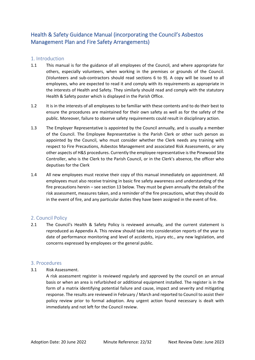# Health & Safety Guidance Manual (incorporating the Council's Asbestos Management Plan and Fire Safety Arrangements)

# 1. Introduction

- 1.1 This manual is for the guidance of all employees of the Council, and where appropriate for others, especially volunteers, when working in the premises or grounds of the Council. (Volunteers and sub-contractors should read sections 6 to 9). A copy will be issued to all employees, who are expected to read it and comply with its requirements as appropriate in the interests of Health and Safety. They similarly should read and comply with the statutory Health & Safety poster which is displayed in the Parish Office.
- 1.2 It is in the interests of all employees to be familiar with these contents and to do their best to ensure the procedures are maintained for their own safety as well as for the safety of the public. Moreover, failure to observe safety requirements could result in disciplinary action.
- 1.3 The Employer Representative is appointed by the Council annually, and is usually a member of the Council. The Employee Representative is the Parish Clerk or other such person as appointed by the Council, who must consider whether the Clerk needs any training with respect to Fire Precautions, Asbestos Management and associated Risk Assessments, or any other aspects of H&S procedures. Currently the employee representative is the Pinewood Site Controller, who is the Clerk to the Parish Council, or in the Clerk's absence, the officer who deputises for the Clerk
- 1.4 All new employees must receive their copy of this manual immediately on appointment. All employees must also receive training in basic fire safety awareness and understanding of the fire precautions herein – see section 13 below. They must be given annually the details of the risk assessment, measures taken, and a reminder of the fire precautions, what they should do in the event of fire, and any particular duties they have been assigned in the event of fire.

# 2. Council Policy

2.1 The Council's Health & Safety Policy is reviewed annually, and the current statement is reproduced as Appendix A. This review should take into consideration reports of the year to date of performance monitoring and level of accidents, injury etc., any new legislation, and concerns expressed by employees or the general public.

# 3. Procedures

3.1 Risk Assessment.

A risk assessment register is reviewed regularly and approved by the council on an annual basis or when an area is refurbished or additional equipment installed. The register is in the form of a matrix identifying potential failure and cause, impact and severity and mitigating response. The results are reviewed in February / March and reported to Council to assist their policy review prior to formal adoption. Any urgent action found necessary is dealt with immediately and not left for the Council review.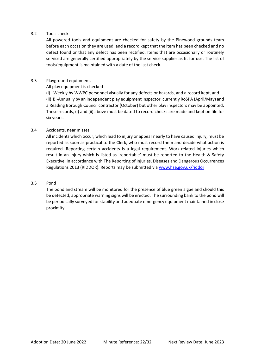#### 3.2 Tools check.

All powered tools and equipment are checked for safety by the Pinewood grounds team before each occasion they are used, and a record kept that the item has been checked and no defect found or that any defect has been rectified. Items that are occasionally or routinely serviced are generally certified appropriately by the service supplier as fit for use. The list of tools/equipment is maintained with a date of the last check.

#### 3.3 Playground equipment.

All play equipment is checked

(i) Weekly by WWPC personnel visually for any defects or hazards, and a record kept, and (ii) Bi-Annually by an independent play equipment inspector, currently RoSPA (April/May) and a Reading Borough Council contractor (October) but other play inspectors may be appointed. These records, (i) and (ii) above must be dated to record checks are made and kept on file for six years.

#### 3.4 Accidents, near misses.

All incidents which occur, which lead to injury or appear nearly to have caused injury, must be reported as soon as practical to the Clerk, who must record them and decide what action is required. Reporting certain accidents is a legal requirement. Work-related injuries which result in an injury which is listed as 'reportable' must be reported to the Health & Safety Executive, in accordance with The Reporting of Injuries, Diseases and Dangerous Occurrences Regulations 2013 (RIDDOR). Reports may be submitted via [www.hse.gov.uk/riddor](http://www.hse.gov.uk/riddor)

#### 3.5 Pond

The pond and stream will be monitored for the presence of blue green algae and should this be detected, appropriate warning signs will be erected. The surrounding bank to the pond will be periodically surveyed for stability and adequate emergency equipment maintained in close proximity.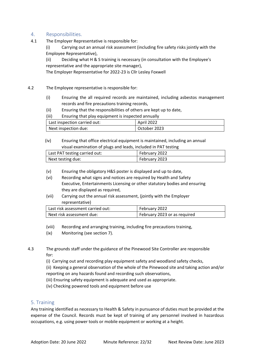# 4. Responsibilities.

4.1 The Employer Representative is responsible for:

(i) Carrying out an annual risk assessment (including fire safety risks jointly with the Employee Representative),

(ii) Deciding what H & S training is necessary (in consultation with the Employee's representative and the appropriate site manager),

The Employer Representative for 2022-23 is Cllr Lesley Foxwell

- 4.2 The Employee representative is responsible for:
	- (i) Ensuring the all required records are maintained, including asbestos management records and fire precautions training records,
	- (ii) Ensuring that the responsibilities of others are kept up to date,

(iii) Ensuring that play equipment is inspected annually

| Last inspection carried out: | <b>April 2022</b> |
|------------------------------|-------------------|
| Next inspection due:         | October 2023      |

# (iv) Ensuring that office electrical equipment is maintained, including an annual visual examination of plugs and leads, included in PAT testing

| Last PAT testing carried out: | February 2022 |
|-------------------------------|---------------|
| Next testing due:             | February 2023 |

- (v) Ensuring the obligatory H&S poster is displayed and up to date,
- (vi) Recording what signs and notices are required by Health and Safety Executive, Entertainments Licensing or other statutory bodies and ensuring they are displayed as required,
- (vii) Carrying out the annual risk assessment, (jointly with the Employer representative)

| Last risk assessment carried out: | February 2022                |
|-----------------------------------|------------------------------|
| l Next risk assessment due:       | February 2023 or as required |

(viii) Recording and arranging training, including fire precautions training,

(ix) Monitoring (see section 7).

4.3 The grounds staff under the guidance of the Pinewood Site Controller are responsible for:

(i) Carrying out and recording play equipment safety and woodland safety checks,

(ii) Keeping a general observation of the whole of the Pinewood site and taking action and/or reporting on any hazards found and recording such observations,

(iii) Ensuring safety equipment is adequate and used as appropriate.

(iv) Checking powered tools and equipment before use

# 5. Training

Any training identified as necessary to Health & Safety in pursuance of duties must be provided at the expense of the Council. Records must be kept of training of any personnel involved in hazardous occupations, e.g. using power tools or mobile equipment or working at a height.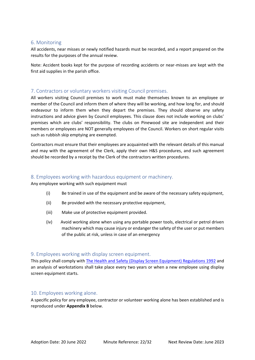#### 6. Monitoring

All accidents, near misses or newly notified hazards must be recorded, and a report prepared on the results for the purposes of the annual review.

Note: Accident books kept for the purpose of recording accidents or near-misses are kept with the first aid supplies in the parish office.

# 7. Contractors or voluntary workers visiting Council premises.

All workers visiting Council premises to work must make themselves known to an employee or member of the Council and inform them of where they will be working, and how long for, and should endeavour to inform them when they depart the premises. They should observe any safety instructions and advice given by Council employees. This clause does not include working on clubs' premises which are clubs' responsibility. The clubs on Pinewood site are independent and their members or employees are NOT generally employees of the Council. Workers on short regular visits such as rubbish skip emptying are exempted.

Contractors must ensure that their employees are acquainted with the relevant details of this manual and may with the agreement of the Clerk, apply their own H&S procedures, and such agreement should be recorded by a receipt by the Clerk of the contractors written procedures.

# 8. Employees working with hazardous equipment or machinery.

Any employee working with such equipment must

- (i) Be trained in use of the equipment and be aware of the necessary safety equipment,
- (ii) Be provided with the necessary protective equipment,
- (iii) Make use of protective equipment provided.
- (iv) Avoid working alone when using any portable power tools, electrical or petrol driven machinery which may cause injury or endanger the safety of the user or put members of the public at risk, unless in case of an emergency

# 9. Employees working with display screen equipment.

This policy shall comply with [The Health and Safety \(Display Screen Equipment\) Regulations 1992](http://www.legislation.gov.uk/uksi/1992/2792/made) and an analysis of workstations shall take place every two years or when a new employee using display screen equipment starts.

# 10. Employees working alone.

A specific policy for any employee, contractor or volunteer working alone has been established and is reproduced under **Appendix B** below.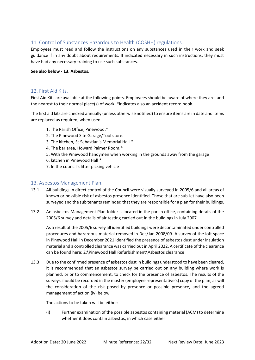# 11. Control of Substances Hazardous to Health (COSHH) regulations.

Employees must read and follow the instructions on any substances used in their work and seek guidance if in any doubt about requirements. If indicated necessary in such instructions, they must have had any necessary training to use such substances.

#### **See also below - 13. Asbestos.**

# 12. First Aid Kits.

First Aid Kits are available at the following points. Employees should be aware of where they are, and the nearest to their normal place(s) of work. \*indicates also an accident record book.

The first aid kits are checked annually (unless otherwise notified) to ensure items are in date and items are replaced as required, when used.

- 1. The Parish Office, Pinewood.\*
- 2. The Pinewood Site Garage/Tool store.
- 3. The kitchen, St Sebastian's Memorial Hall \*
- 4. The bar area, Howard Palmer Room.\*
- 5. With the Pinewood handymen when working in the grounds away from the garage
- 6. kitchen in Pinewood Hall \*
- 7. In the council's litter picking vehicle

# 13. Asbestos Management Plan.

- 13.1 All buildings in direct control of the Council were visually surveyed in 2005/6 and all areas of known or possible risk of asbestos presence identified. Those that are sub-let have also been surveyed and the sub tenants reminded that they are responsible for a plan for their buildings.
- 13.2 An asbestos Management Plan folder is located in the parish office, containing details of the 2005/6 survey and details of air testing carried out in the buildings in July 2007.

As a result of the 2005/6 survey all identified buildings were decontaminated under controlled procedures and hazardous material removed in Dec/Jan 2008/09. A survey of the loft space in Pinewood Hall in December 2021 identified the presence of asbestos dust under insulation material and a controlled clearance was carried out in April 2022. A certificate of the clearance can be found here: Z:\Pinewood Hall Refurbishment\Asbestos clearance

13.3 Due to the confirmed presence of asbestos dust in buildings understood to have been cleared, it is recommended that an asbestos survey be carried out on any building where work is planned, prior to commencement, to check for the presence of asbestos. The results of the surveys should be recorded in the master (employee representative's) copy of the plan, as will the consideration of the risk posed by presence or possible presence, and the agreed management of action (iv) below.

The actions to be taken will be either:

(i) Further examination of the possible asbestos containing material (ACM) to determine whether it does contain asbestos, in which case either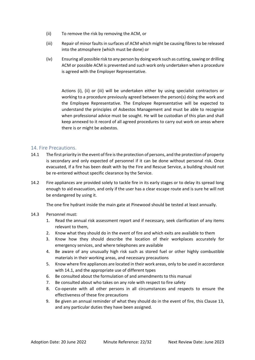- (ii) To remove the risk by removing the ACM, or
- (iii) Repair of minor faults in surfaces of ACM which might be causing fibres to be released into the atmosphere (which must be done) or
- (iv) Ensuring all possible risk to any person by doing work such as cutting, sawing or drilling ACM or possible ACM is prevented and such work only undertaken when a procedure is agreed with the Employer Representative.

Actions (i), (ii) or (iii) will be undertaken either by using specialist contractors or working to a procedure previously agreed between the person(s) doing the work and the Employee Representative. The Employee Representative will be expected to understand the principles of Asbestos Management and must be able to recognise when professional advice must be sought. He will be custodian of this plan and shall keep annexed to it record of all agreed procedures to carry out work on areas where there is or might be asbestos.

# 14. Fire Precautions.

- 14.1 The first priority in the event of fire is the protection of persons, and the protection of property is secondary and only expected of personnel if it can be done without personal risk. Once evacuated, if a fire has been dealt with by the Fire and Rescue Service, a building should not be re-entered without specific clearance by the Service.
- 14.2 Fire appliances are provided solely to tackle fire in its early stages or to delay its spread long enough to aid evacuation, and only if the user has a clear escape route and is sure he will not be endangered by using it.

The one fire hydrant inside the main gate at Pinewood should be tested at least annually.

#### 14.3 Personnel must:

- 1. Read the annual risk assessment report and if necessary, seek clarification of any items relevant to them,
- 2. Know what they should do in the event of fire and which exits are available to them
- 3. Know how they should describe the location of their workplaces accurately for emergency services, and where telephones are available
- 4. Be aware of any unusually high risk such as stored fuel or other highly combustible materials in their working areas, and necessary precautions
- 5. Know where fire appliances are located in their work areas, only to be used in accordance with 14.1, and the appropriate use of different types
- 6. Be consulted about the formulation of and amendments to this manual
- 7. Be consulted about who takes on any role with respect to fire safety
- 8. Co-operate with all other persons in all circumstances and respects to ensure the effectiveness of these fire precautions
- 9. Be given an annual reminder of what they should do in the event of fire, this Clause 13, and any particular duties they have been assigned.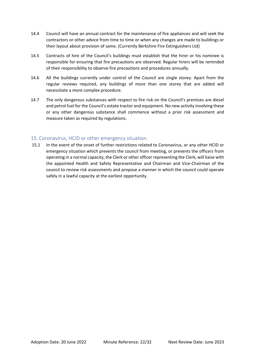- 14.4 Council will have an annual contract for the maintenance of fire appliances and will seek the contractors or other advice from time to time or when any changes are made to buildings or their layout about provision of same. (Currently Berkshire Fire Extinguishers Ltd)
- 14.5 Contracts of hire of the Council's buildings must establish that the hirer or his nominee is responsible for ensuring that fire precautions are observed. Regular hirers will be reminded of their responsibility to observe fire precautions and procedures annually.
- 14.6 All the buildings currently under control of the Council are single storey. Apart from the regular reviews required, any buildings of more than one storey that are added will necessitate a more complex procedure.
- 14.7 The only dangerous substances with respect to fire risk on the Council's premises are diesel and petrol fuel for the Council's estate tractor and equipment. No new activity involving these or any other dangerous substance shall commence without a prior risk assessment and measure taken as required by regulations.

# 15. Coronavirus, HCID or other emergency situation.

15.1 In the event of the onset of further restrictions related to Coronavirus, or any other HCID or emergency situation which prevents the council from meeting, or prevents the officers from operating in a normal capacity, the Clerk or other officer representing the Clerk, will liaise with the appointed Health and Safety Representative and Chairman and Vice-Chairman of the council to review risk assessments and propose a manner in which the council could operate safely in a lawful capacity at the earliest opportunity.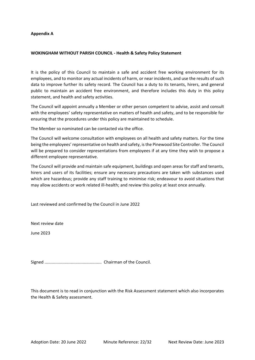#### **Appendix A**

#### **WOKINGHAM WITHOUT PARISH COUNCIL - Health & Safety Policy Statement**

It is the policy of this Council to maintain a safe and accident free working environment for its employees, and to monitor any actual incidents of harm, or near incidents, and use the results of such data to improve further its safety record. The Council has a duty to its tenants, hirers, and general public to maintain an accident free environment, and therefore includes this duty in this policy statement, and health and safety activities.

The Council will appoint annually a Member or other person competent to advise, assist and consult with the employees' safety representative on matters of health and safety, and to be responsible for ensuring that the procedures under this policy are maintained to schedule.

The Member so nominated can be contacted via the office.

The Council will welcome consultation with employees on all health and safety matters. For the time being the employees' representative on health and safety, is the Pinewood Site Controller. The Council will be prepared to consider representations from employees if at any time they wish to propose a different employee representative.

The Council will provide and maintain safe equipment, buildings and open areas for staff and tenants, hirers and users of its facilities; ensure any necessary precautions are taken with substances used which are hazardous; provide any staff training to minimise risk; endeavour to avoid situations that may allow accidents or work related ill-health; and review this policy at least once annually.

Last reviewed and confirmed by the Council in June 2022

Next review date

June 2023

Signed ................................................ Chairman of the Council.

This document is to read in conjunction with the Risk Assessment statement which also incorporates the Health & Safety assessment.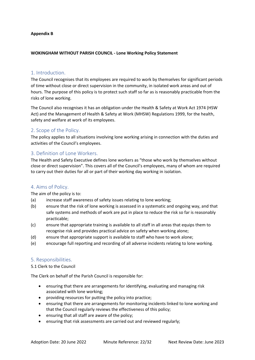#### **Appendix B**

#### **WOKINGHAM WITHOUT PARISH COUNCIL - Lone Working Policy Statement**

# 1. Introduction.

The Council recognises that its employees are required to work by themselves for significant periods of time without close or direct supervision in the community, in isolated work areas and out of hours. The purpose of this policy is to protect such staff so far as is reasonably practicable from the risks of lone working.

The Council also recognises it has an obligation under the Health & Safety at Work Act 1974 (HSW Act) and the Management of Health & Safety at Work (MHSW) Regulations 1999, for the health, safety and welfare at work of its employees.

# 2. Scope of the Policy.

The policy applies to all situations involving lone working arising in connection with the duties and activities of the Council's employees.

# 3. Definition of Lone Workers.

The Health and Safety Executive defines lone workers as "those who work by themselves without close or direct supervision". This covers all of the Council's employees, many of whom are required to carry out their duties for all or part of their working day working in isolation.

# 4. Aims of Policy.

The aim of the policy is to:

- (a) increase staff awareness of safety issues relating to lone working;
- (b) ensure that the risk of lone working is assessed in a systematic and ongoing way, and that safe systems and methods of work are put in place to reduce the risk so far is reasonably practicable;
- (c) ensure that appropriate training is available to all staff in all areas that equips them to recognise risk and provides practical advice on safety when working alone;
- (d) ensure that appropriate support is available to staff who have to work alone;
- (e) encourage full reporting and recording of all adverse incidents relating to lone working.

# 5. Responsibilities.

#### 5.1 Clerk to the Council

The Clerk on behalf of the Parish Council is responsible for:

- ensuring that there are arrangements for identifying, evaluating and managing risk associated with lone working;
- providing resources for putting the policy into practice;
- ensuring that there are arrangements for monitoring incidents linked to lone working and that the Council regularly reviews the effectiveness of this policy;
- ensuring that all staff are aware of the policy;
- ensuring that risk assessments are carried out and reviewed regularly;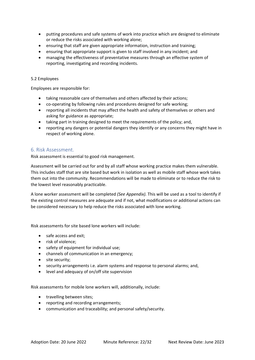- putting procedures and safe systems of work into practice which are designed to eliminate or reduce the risks associated with working alone;
- ensuring that staff are given appropriate information, instruction and training;
- ensuring that appropriate support is given to staff involved in any incident; and
- managing the effectiveness of preventative measures through an effective system of reporting, investigating and recording incidents.

#### 5.2 Employees

Employees are responsible for:

- taking reasonable care of themselves and others affected by their actions;
- co-operating by following rules and procedures designed for safe working;
- reporting all incidents that may affect the health and safety of themselves or others and asking for guidance as appropriate;
- taking part in training designed to meet the requirements of the policy; and,
- reporting any dangers or potential dangers they identify or any concerns they might have in respect of working alone.

#### 6. Risk Assessment.

Risk assessment is essential to good risk management.

Assessment will be carried out for and by all staff whose working practice makes them vulnerable. This includes staff that are site based but work in isolation as well as mobile staff whose work takes them out into the community. Recommendations will be made to eliminate or to reduce the risk to the lowest level reasonably practicable.

A lone worker assessment will be completed *(See Appendix).* This will be used as a tool to identify if the existing control measures are adequate and if not, what modifications or additional actions can be considered necessary to help reduce the risks associated with lone working.

Risk assessments for site based lone workers will include:

- safe access and exit;
- risk of violence;
- safety of equipment for individual use;
- channels of communication in an emergency;
- site security;
- security arrangements i.e. alarm systems and response to personal alarms; and,
- level and adequacy of on/off site supervision

Risk assessments for mobile lone workers will, additionally, include:

- travelling between sites;
- reporting and recording arrangements;
- communication and traceability; and personal safety/security.